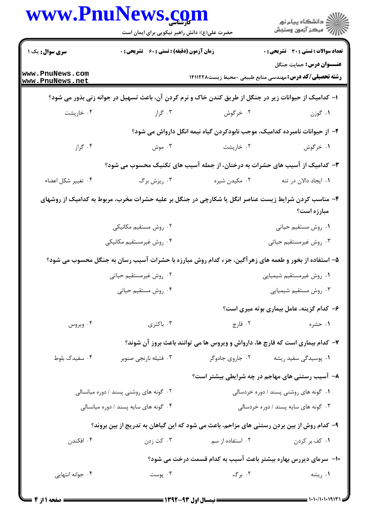|                                        | www.PnuNews.com<br>حضرت علی(ع): دانش راهبر نیکویی برای ایمان است |                  | ر دانشگاه پيام نور<br>ا∛هرکز آزمون وسنجش                                                                           |  |
|----------------------------------------|------------------------------------------------------------------|------------------|--------------------------------------------------------------------------------------------------------------------|--|
| <b>سری سوال :</b> یک ۱                 | زمان آزمون (دقیقه) : تستی : 60 ٪ تشریحی : 0                      |                  | <b>تعداد سوالات : تستی : 30 ٪ تشریحی : 0</b>                                                                       |  |
| www.PnuNews.com<br>www.PnuNews.net     |                                                                  |                  | <b>عنـــوان درس:</b> حمایت جنگل<br><b>رشته تحصیلی/کد درس:</b> مهندسی منابع طبیعی -محیط زیست1۴۱۱۲۲۸                 |  |
|                                        |                                                                  |                  | ا– کدامیک از حیوانات زیر در جنگل از طریق کندن خاک و نرم کردن آن، باعث تسهیل در جوانه زنی بذور می شود؟              |  |
| ۰۴ خارپشت                              | ۰۳ گراز                                                          | ۰۲ خرگوش         | ۰۱ گوزن                                                                                                            |  |
|                                        |                                                                  |                  | ۲- از حیوانات نامبرده کدامیک، موجب نابودکردن گیاه نیمه انگل دارواش می شود؟                                         |  |
| ۰۴ گراز                                | ۰۳ موش                                                           | ۰۲ خارپشت        | ١. خرگوش                                                                                                           |  |
|                                        |                                                                  |                  | ۳- کدامیک از آسیب های حشرات به درختان، از جمله آسیب های تکنیک محسوب می شود؟                                        |  |
| ۰۴ تغيير شكل اعضاء                     | ۰۳ ریزش برگ                                                      | ۰۲ مکیدن شیره    | ٠١. ايجاد دالان در تنه                                                                                             |  |
|                                        |                                                                  |                  | ۴– مناسب کردن شرایط زیست عناصر انگل یا شکارچی در جنگل بر علیه حشرات مخرب، مربوط به کدامیک از روشهای<br>مبارزه است؟ |  |
|                                        | ۰۲ روش مستقیم مکانیکی                                            |                  | ٠١ روش مستقيم حياتي                                                                                                |  |
|                                        | ۰۴ روش غیرمستقیم مکانیکی                                         |                  | ۰۳ روش غیرمستقیم حیاتی                                                                                             |  |
|                                        |                                                                  |                  | ۵– استفاده از بخور و طعمه های زهر آگین، جزء کدام روش مبارزه با حشرات آسیب رسان به جنگل محسوب می شود؟               |  |
|                                        | ۰۲ روش غیرمستقیم حیاتی                                           |                  | ۰۱ روش غیرمستقیم شیمیایی                                                                                           |  |
|                                        | ۰۴ روش مستقيم حياتي                                              |                  | ۰۳ روش مستقيم شيميايي                                                                                              |  |
|                                        |                                                                  |                  | ۶– کدام گزینه، عامل بیماری بوته میری است؟                                                                          |  |
| ۰۴ ویروس                               | ۰۳ باکتری                                                        | ۰۲ قارچ          | ۰۱ حشره                                                                                                            |  |
|                                        |                                                                  |                  | ۷- کدام بیماری است که قارچ ها، دارواش و ویروس ها می توانند باعث بروز آن شوند؟                                      |  |
| ۰۴ سفیدک بلوط                          | ۰۳ فتیله نارنجی صنوبر                                            | ۰۲ جاروی جادوگر  | ۰۱ پوسیدگی سفید ریشه                                                                                               |  |
|                                        |                                                                  |                  | ۸− آسیب رستنی های مهاجم در چه شرایطی بیشتر است؟                                                                    |  |
| ۰۲ گونه های روشنی پسند / دوره میانسالی |                                                                  |                  | ۰۱ گونه های روشنی پسند / دوره خردسالی                                                                              |  |
| ۰۴ گونه های سایه پسند / دوره میانسالی  |                                                                  |                  | ۰۳ گونه های سایه پسند / دوره خردسالی                                                                               |  |
|                                        |                                                                  |                  | ۹- کدام روش از بین بردن رستنی های مزاحم، باعث می شود که این گیاهان به تدریج از بین بروند؟                          |  |
| ۰۴ افکندن                              | ۰۳ کت زدن                                                        | ۰۲ استفاده از سم | ۰۱ کف بر کردن                                                                                                      |  |
|                                        |                                                                  |                  | ∙ا− سرمای دیررس بهاره بیشتر باعث آسیب به کدام قسمت درخت می شود؟                                                    |  |
| ۰۴ جوانه انتهایی                       | ۰۳ پوست                                                          | ۰۲ برگ           | ۰۱ ریشه                                                                                                            |  |

 $= 1.1 - 11.11117$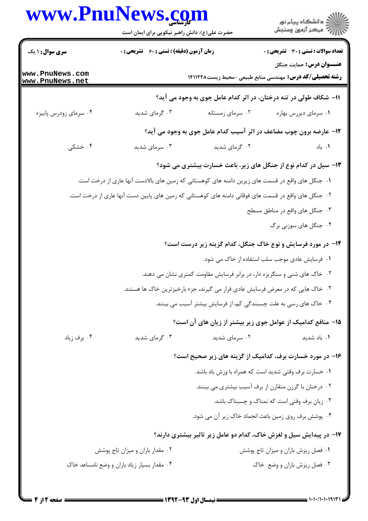## **WWW.PnIINews.com**

|                                    | حضرت علی(ع): دانش راهبر نیکویی برای ایمان است |                                                                                                     | ≦ دانشڪاه پيام نور<br>√ مرڪز آزمون وسنڊش                                                           |
|------------------------------------|-----------------------------------------------|-----------------------------------------------------------------------------------------------------|----------------------------------------------------------------------------------------------------|
| <b>سری سوال : ۱ یک</b>             | زمان آزمون (دقیقه) : تستی : 60 ٪ تشریحی : 0   |                                                                                                     | <b>تعداد سوالات : تستی : 30 ٪ تشریحی : 0</b>                                                       |
| www.PnuNews.com<br>www.PnuNews.net |                                               |                                                                                                     | <b>عنـــوان درس:</b> حمایت جنگل<br><b>رشته تحصیلی/کد درس:</b> مهندسی منابع طبیعی -محیط زیست۱۴۱۱۲۲۸ |
|                                    |                                               | 11- شکاف طولی در تنه درختان، در اثر کدام عامل جوی به وجود می آید؟                                   |                                                                                                    |
| ۰۴ سرمای زودرس پاییزه              | ۰۳ گرمای شدید                                 | ۰۲ سرمای زمستانه                                                                                    | ۰۱ سرمای دیررس بهاره                                                                               |
|                                    |                                               | 12- عارضه برون چوب مضاعف در اثر آسیب کدام عامل جوی به وجود می آید؟                                  |                                                                                                    |
| ۰۴ خشکی                            | ۰۳ سرمای شدید                                 | ۰۲ گرمای شدید                                                                                       | ۰۱. باد                                                                                            |
|                                    |                                               | ۱۳- سیل در کدام نوع از جنگل های زیر، باعث خسارت بیشتری می شود؟                                      |                                                                                                    |
|                                    |                                               | ۰۱ جنگل های واقع در قسمت های زیرین دامنه های کوهستانی که زمین های بالادست آنها عاری از درخت است.    |                                                                                                    |
|                                    |                                               | ۲. جنگل های واقع در قسمت های فوقانی دامنه های کوهستانی که زمین های پایین دست آنها عاری از درخت است. |                                                                                                    |
|                                    |                                               |                                                                                                     | ۰۳ جنگل های واقع در مناطق مسطح                                                                     |
|                                    |                                               |                                                                                                     | ۰۴ جنگل های سوزنی برگ                                                                              |
|                                    |                                               | ۱۴- در مورد فرسایش و نوع خاک جنگل، کدام گزینه زیر درست است؟                                         |                                                                                                    |
|                                    |                                               |                                                                                                     | ۰۱ فرسایش عادی موجب سلب استفاده از خاک می شود.                                                     |
|                                    |                                               | ۲. خاک های شنی و سنگریزه دار، در برابر فرسایش مقاومت کمتری نشان می دهند.                            |                                                                                                    |
|                                    |                                               | ۰۳ خاک هایی که در معرض فرسایش عادی قرار می گیرند، جزء بارخیز ترین خاک ها هستند.                     |                                                                                                    |
|                                    |                                               | ۰۴ خاک های رسی به علت چسبندگی کم، از فرسایش بیشتر آسیب می بینند.                                    |                                                                                                    |
|                                    |                                               | 1۵– منافع کدامیک از عوامل جوی زیر بیشتر از زیان های آن است؟                                         |                                                                                                    |
| ۰۴ برف زياد                        | ۰۳ گرمای شدید                                 | ۰۲ سرمای شدید                                                                                       | ۰۱ باد شدید                                                                                        |
|                                    |                                               | ۱۶- در مورد خسارت برف، کدامیک از گزینه های زیر صحیح است؟                                            |                                                                                                    |
|                                    |                                               |                                                                                                     | ٠١ خسارت برف وقتي شديد است كه همراه با وزش باد باشد.                                               |
|                                    |                                               |                                                                                                     | ۰۲ درختان با گرزن متقارن از برف آسیب بیشتری می بینند.                                              |
|                                    |                                               |                                                                                                     | ۰۳ زیان برف وقتی است که نمناک و چسبناک باشد.                                                       |
|                                    |                                               |                                                                                                     | ۰۴ پوشش برف روی زمین باعث انجماد خاک زیر آن می شود.                                                |
|                                    |                                               | ۱۷- در پیدایش سیل و لغزش خاک، کدام دو عامل زیر تاثیر بیشتری دارند؟                                  |                                                                                                    |
|                                    | ۰۲ مقدار باران و میزان تاج پوشش               |                                                                                                     | ٠١ فصل ريزش باران و ميزان تاج پوشش                                                                 |
|                                    | ۰۴ مقدار بسیار زیاد باران و وضع نامساعد خاک   |                                                                                                     | ۰۳ فصل ریزش باران و وضع خاک                                                                        |
|                                    |                                               |                                                                                                     |                                                                                                    |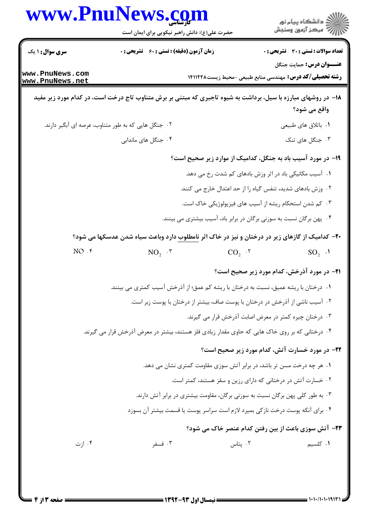|                                    | www.PnuNews.com                                                                                               |                                                                                | ر<br>دانشڪاه پيام نور)<br>ا∛ مرڪز آزمون وسنڊش      |
|------------------------------------|---------------------------------------------------------------------------------------------------------------|--------------------------------------------------------------------------------|----------------------------------------------------|
|                                    | حضرت علی(ع): دانش راهبر نیکویی برای ایمان است                                                                 |                                                                                |                                                    |
| <b>سری سوال : ۱ یک</b>             | <b>زمان آزمون (دقیقه) : تستی : 60 ٪ تشریحی : 0</b>                                                            |                                                                                | <b>تعداد سوالات : تستي : 30 ٪ تشريحي : 0</b>       |
| www.PnuNews.com<br>www.PnuNews.net |                                                                                                               | <b>رشته تحصیلی/کد درس:</b> مهندسی منابع طبیعی -محیط زیست141127                 | <b>عنـــوان درس:</b> حمايت جنگل                    |
|                                    | ۱۸– در روشهای مبارزه با سیل، برداشت به شیوه تاجبری که مبتنی بر برش متناوب تاج درخت است، در کدام مورد زیر مفید |                                                                                | واقع می شود؟                                       |
|                                    | ۰۲ جنگل هایی که به طور متناوب، عرصه ای آبگیر دارند.                                                           |                                                                                | ۰۱ باتلاق های طبیعی                                |
|                                    | ۰۴ جنگل های ماندابی                                                                                           |                                                                                | ۰۳ جنگل های تنک                                    |
|                                    |                                                                                                               | ۱۹- در مورد آسیب باد به جنگل، کدامیک از موارد زیر صحیح است؟                    |                                                    |
|                                    |                                                                                                               | <mark>۱</mark> .  آسیب مکانیکی باد در اثر وزش بادهای کم شدت رخ می دهد.         |                                                    |
|                                    |                                                                                                               | ۰۲ وزش بادهای شدید، تنفس گیاه را از حد اعتدال خارج می کنند.                    |                                                    |
|                                    |                                                                                                               | ۰۳ کم شدن استحکام ریشه از آسیب های فیزیولوژیکی خاک است.                        |                                                    |
|                                    |                                                                                                               | ۰۴ پهن برگان نسبت به سوزنی برگان در برابر باد، آسیب بیشتری می بینند.           |                                                    |
|                                    | <b>۲۰</b> – کدامیک از گازهای زیر در درختان و نیز در خاک اثر <u>نامطلوب</u> دارد وباعث سیاه شدن عدسکها می شود؟ |                                                                                |                                                    |
| $NO.$ f                            | $NO2$ . $\mathbf{v}$                                                                                          | $CO2$ .                                                                        | $SO_2$ .                                           |
|                                    |                                                                                                               |                                                                                | <b>۲۱</b> - در مورد آذرخش، کدام مورد زیر صحیح است؟ |
|                                    | ۰۱ درختان با ریشه عمیق، نسبت به درختان با ریشه کم عمق؛ از آذرخش آسیب کمتری می بینند.                          |                                                                                |                                                    |
|                                    |                                                                                                               | ۰۲ آسیب ناشی از آذرخش در درختان با پوست صاف، بیشتر از درختان با پوست زبر است.  |                                                    |
|                                    |                                                                                                               | ۰۳ درختان چیره کمتر در معرض اصابت آذرخش قرار می گیرند.                         |                                                    |
|                                    | ۰۴ درختانی که بر روی خاک هایی که حاوی مقدار زیادی فلز هستند، بیشتر در معرض آذرخش قرار می گیرند.               |                                                                                |                                                    |
|                                    |                                                                                                               | <b>۲۲- در مورد خسارت آتش، کدام مورد زیر صحیح است</b> ؟                         |                                                    |
|                                    |                                                                                                               | ۰۱ هر چه درخت مسن تر باشد، در برابر آتش سوزی مقاومت کمتری نشان می دهد.         |                                                    |
|                                    |                                                                                                               | ۰۲ خسارت آتش در درختانی که دارای رزین و سقز هستند، کمتر است.                   |                                                    |
|                                    |                                                                                                               | ۰۳ به طور کلی پهن برگان نسبت به سوزنی برگان، مقاومت بیشتری در برابر آتش دارند. |                                                    |
|                                    | ۰۴ برای آنکه پوست درخت نازکی بمیرد لازم است سراسر پوست یا قسمت بیشتر آن بسوزد                                 |                                                                                |                                                    |
|                                    |                                                                                                               | <b>۲۳</b> - آتش سوزی باعث از بین رفتن کدام عنصر خاک می شود؟                    |                                                    |
|                                    |                                                                                                               |                                                                                |                                                    |

 $= 1.1 - (1.11917$